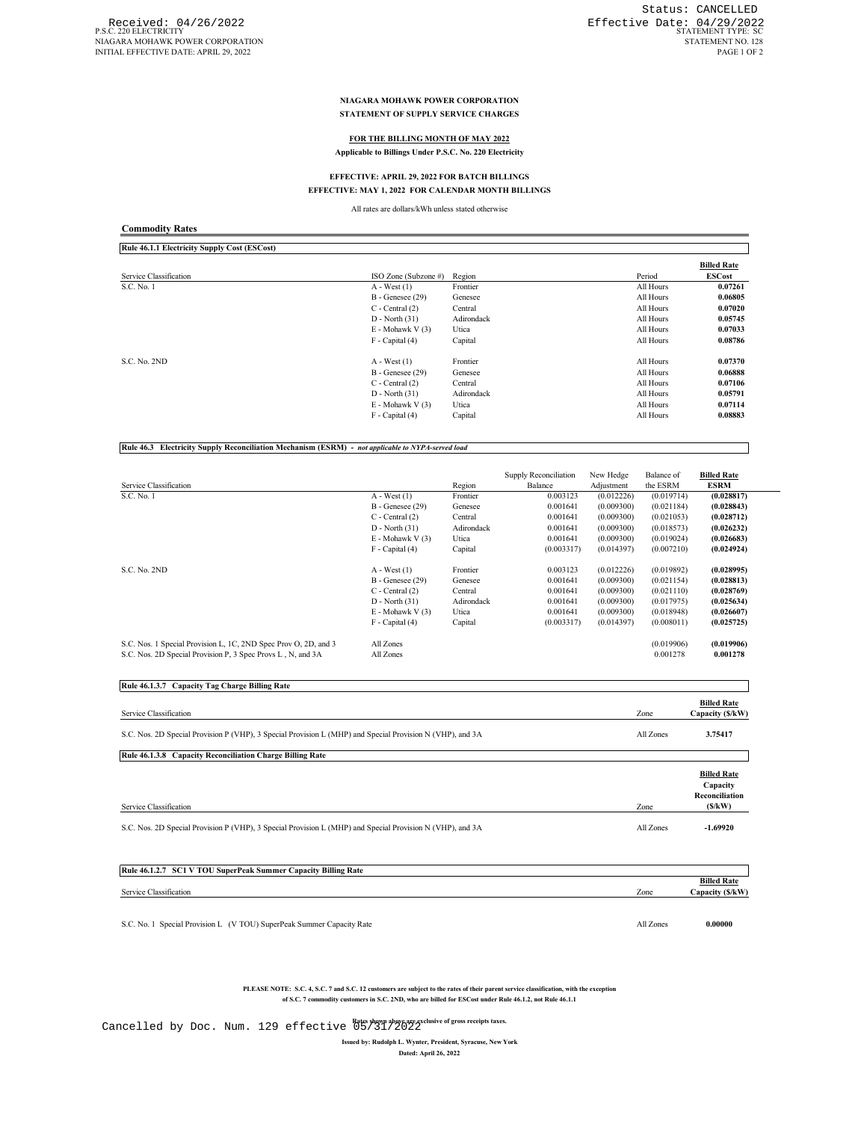#### **NIAGARA MOHAWK POWER CORPORATION STATEMENT OF SUPPLY SERVICE CHARGES**

## **FOR THE BILLING MONTH OF MAY 2022**

**Applicable to Billings Under P.S.C. No. 220 Electricity**

# **EFFECTIVE: APRIL 29, 2022 FOR BATCH BILLINGS**

#### **EFFECTIVE: MAY 1, 2022 FOR CALENDAR MONTH BILLINGS**

All rates are dollars/kWh unless stated otherwise

| Rule 46.1.1 Electricity Supply Cost (ESCost) |                          |            |           |                                     |
|----------------------------------------------|--------------------------|------------|-----------|-------------------------------------|
| Service Classification                       | ISO Zone (Subzone #)     | Region     | Period    | <b>Billed Rate</b><br><b>ESCost</b> |
|                                              |                          |            |           |                                     |
| S.C. No. 1                                   | $A - West(1)$            | Frontier   | All Hours | 0.07261                             |
|                                              | $B -$ Genesee $(29)$     | Genesee    | All Hours | 0.06805                             |
|                                              | $C$ - Central $(2)$      | Central    | All Hours | 0.07020                             |
|                                              | $D - North(31)$          | Adirondack | All Hours | 0.05745                             |
|                                              | $E - Mohawk V(3)$        | Utica      | All Hours | 0.07033                             |
|                                              | $F - Capital(4)$         | Capital    | All Hours | 0.08786                             |
| S.C. No. 2ND                                 | $A - West(1)$            | Frontier   | All Hours | 0.07370                             |
|                                              | $B - \text{Genesee}(29)$ | Genesee    | All Hours | 0.06888                             |
|                                              | $C$ - Central $(2)$      | Central    | All Hours | 0.07106                             |
|                                              | $D - North(31)$          | Adirondack | All Hours | 0.05791                             |
|                                              | $E - Mohawk V(3)$        | Utica      | All Hours | 0.07114                             |
|                                              | F - Capital (4)          | Capital    | All Hours | 0.08883                             |

**Rule 46.3 Electricity Supply Reconciliation Mechanism (ESRM) -** *not applicable to NYPA-served load*

| Service Classification                                          |                       | Region     | Supply Reconciliation<br>Balance | New Hedge<br>Adjustment | Balance of<br>the ESRM | <b>Billed Rate</b><br><b>ESRM</b> |
|-----------------------------------------------------------------|-----------------------|------------|----------------------------------|-------------------------|------------------------|-----------------------------------|
| S.C. No. 1                                                      | $A - West(1)$         | Frontier   | 0.003123                         | (0.012226)              | (0.019714)             | (0.028817)                        |
|                                                                 | $B -$ Genesee $(29)$  | Genesee    | 0.001641                         | (0.009300)              | (0.021184)             | (0.028843)                        |
|                                                                 | $C$ - Central $(2)$   | Central    | 0.001641                         | (0.009300)              | (0.021053)             | (0.028712)                        |
|                                                                 | $D - North (31)$      | Adirondack | 0.001641                         | (0.009300)              | (0.018573)             | (0.026232)                        |
|                                                                 | E - Mohawk V (3)      | Utica      | 0.001641                         | (0.009300)              | (0.019024)             | (0.026683)                        |
|                                                                 | $F - Capital(4)$      | Capital    | (0.003317)                       | (0.014397)              | (0.007210)             | (0.024924)                        |
| S.C. No. 2ND                                                    | $A - West(1)$         | Frontier   | 0.003123                         | (0.012226)              | (0.019892)             | (0.028995)                        |
|                                                                 | $B -$ Genesee $(29)$  | Genesee    | 0.001641                         | (0.009300)              | (0.021154)             | (0.028813)                        |
|                                                                 | $C$ - Central $(2)$   | Central    | 0.001641                         | (0.009300)              | (0.021110)             | (0.028769)                        |
|                                                                 | $D - North (31)$      | Adirondack | 0.001641                         | (0.009300)              | (0.017975)             | (0.025634)                        |
|                                                                 | $E - M$ ohawk V $(3)$ | Utica      | 0.001641                         | (0.009300)              | (0.018948)             | (0.026607)                        |
|                                                                 | $F - Capital(4)$      | Capital    | (0.003317)                       | (0.014397)              | (0.008011)             | (0.025725)                        |
| S.C. Nos. 1 Special Provision L, 1C, 2ND Spec Prov O, 2D, and 3 | All Zones             |            |                                  |                         | (0.019906)             | (0.019906)                        |
| S.C. Nos. 2D Special Provision P, 3 Spec Provs L, N, and 3A     | All Zones             |            |                                  |                         | 0.001278               | 0.001278                          |

| Rule 46.1.3.7 Capacity Tag Charge Billing Rate                                                            |           |                                                            |
|-----------------------------------------------------------------------------------------------------------|-----------|------------------------------------------------------------|
| Service Classification                                                                                    | Zone      | <b>Billed Rate</b><br>Capacity (\$/kW)                     |
| S.C. Nos. 2D Special Provision P (VHP), 3 Special Provision L (MHP) and Special Provision N (VHP), and 3A | All Zones | 3.75417                                                    |
| Rule 46.1.3.8 Capacity Reconciliation Charge Billing Rate                                                 |           |                                                            |
| Service Classification                                                                                    | Zone      | <b>Billed Rate</b><br>Capacity<br>Reconciliation<br>(S/kW) |
| S.C. Nos. 2D Special Provision P (VHP), 3 Special Provision L (MHP) and Special Provision N (VHP), and 3A | All Zones | $-1.69920$                                                 |

| Rule 46.1.2.7 SC1 V TOU SuperPeak Summer Capacity Billing Rate |      |                    |
|----------------------------------------------------------------|------|--------------------|
|                                                                |      |                    |
|                                                                |      | <b>Billed Rate</b> |
| Service Classification                                         | Zone | Capacity (\$/kW)   |
|                                                                |      |                    |

S.C. No. 1 Special Provision L (V TOU) SuperPeak Summer Capacity Rate All Zones **0.00000**

PLEASE NOTE: S.C. 4, S.C. 7 and S.C. 12 customers are subject to the rates of their parent service classification, with the exception<br>of S.C. 7 commodity customers in S.C. 2ND, who are billed for ESCost under Rule 46.1.2,

**Rates shown above are exclusive of gross receipts taxes.** Cancelled by Doc. Num. 129 effective 05/31/2022

**Issued by: Rudolph L. Wynter, President, Syracuse, New York Dated: April 26, 2022**